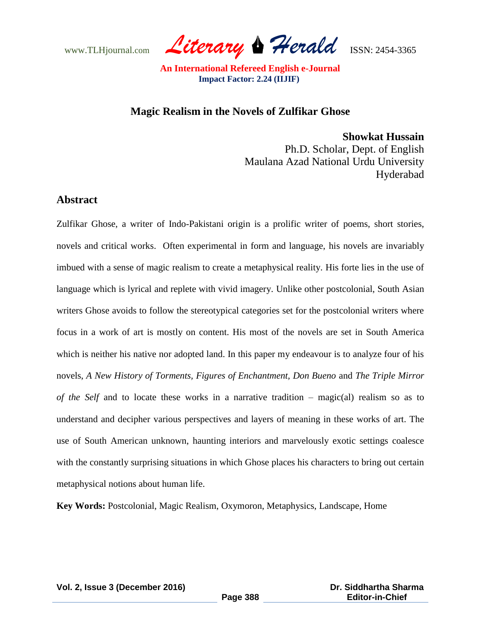www.TLHjournal.com *Literary Herald*ISSN: 2454-3365

## **Magic Realism in the Novels of Zulfikar Ghose**

**Showkat Hussain** Ph.D. Scholar, Dept. of English Maulana Azad National Urdu University Hyderabad

## **Abstract**

Zulfikar Ghose, a writer of Indo-Pakistani origin is a prolific writer of poems, short stories, novels and critical works. Often experimental in form and language, his novels are invariably imbued with a sense of magic realism to create a metaphysical reality. His forte lies in the use of language which is lyrical and replete with vivid imagery. Unlike other postcolonial, South Asian writers Ghose avoids to follow the stereotypical categories set for the postcolonial writers where focus in a work of art is mostly on content. His most of the novels are set in South America which is neither his native nor adopted land. In this paper my endeavour is to analyze four of his novels, *A New History of Torments, Figures of Enchantment, Don Bueno* and *The Triple Mirror of the Self* and to locate these works in a narrative tradition – magic(al) realism so as to understand and decipher various perspectives and layers of meaning in these works of art. The use of South American unknown, haunting interiors and marvelously exotic settings coalesce with the constantly surprising situations in which Ghose places his characters to bring out certain metaphysical notions about human life.

**Key Words:** Postcolonial, Magic Realism, Oxymoron, Metaphysics, Landscape, Home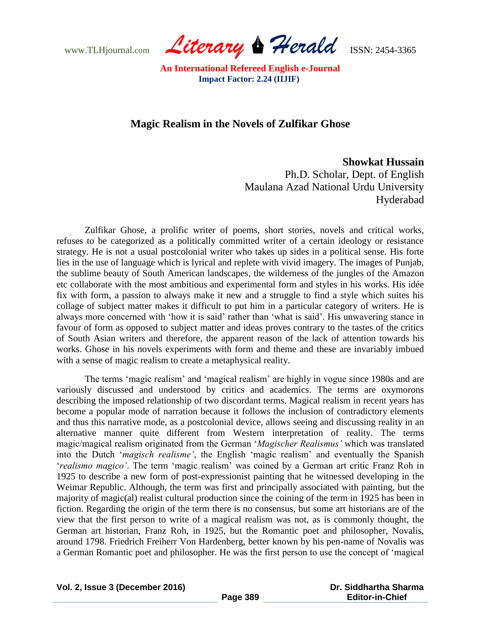www.TLHjournal.com *Literary Herald*ISSN: 2454-3365

# **Magic Realism in the Novels of Zulfikar Ghose**

### **Showkat Hussain**

Ph.D. Scholar, Dept. of English Maulana Azad National Urdu University Hyderabad

Zulfikar Ghose, a prolific writer of poems, short stories, novels and critical works, refuses to be categorized as a politically committed writer of a certain ideology or resistance strategy. He is not a usual postcolonial writer who takes up sides in a political sense. His forte lies in the use of language which is lyrical and replete with vivid imagery. The images of Punjab, the sublime beauty of South American landscapes, the wilderness of the jungles of the Amazon etc collaborate with the most ambitious and experimental form and styles in his works. His idée fix with form, a passion to always make it new and a struggle to find a style which suites his collage of subject matter makes it difficult to put him in a particular category of writers. He is always more concerned with 'how it is said' rather than 'what is said'. His unwavering stance in favour of form as opposed to subject matter and ideas proves contrary to the tastes of the critics of South Asian writers and therefore, the apparent reason of the lack of attention towards his works. Ghose in his novels experiments with form and theme and these are invariably imbued with a sense of magic realism to create a metaphysical reality.

The terms 'magic realism' and 'magical realism' are highly in vogue since 1980s and are variously discussed and understood by critics and academics. The terms are oxymorons describing the imposed relationship of two discordant terms. Magical realism in recent years has become a popular mode of narration because it follows the inclusion of contradictory elements and thus this narrative mode, as a postcolonial device, allows seeing and discussing reality in an alternative manner quite different from Western interpretation of reality. The terms magic/magical realism originated from the German ‗*Magischer Realismus'* which was translated into the Dutch ‗*magisch realisme'*, the English ‗magic realism' and eventually the Spanish ‗*realismo magico'*. The term ‗magic realism' was coined by a German art critic Franz Roh in 1925 to describe a new form of post-expressionist painting that he witnessed developing in the Weimar Republic. Although, the term was first and principally associated with painting, but the majority of magic(al) realist cultural production since the coining of the term in 1925 has been in fiction. Regarding the origin of the term there is no consensus, but some art historians are of the view that the first person to write of a magical realism was not, as is commonly thought, the German art historian, Franz Roh, in 1925, but the Romantic poet and philosopher, Novalis, around 1798. Friedrich Freiherr Von Hardenberg, better known by his pen-name of Novalis was a German Romantic poet and philosopher. He was the first person to use the concept of 'magical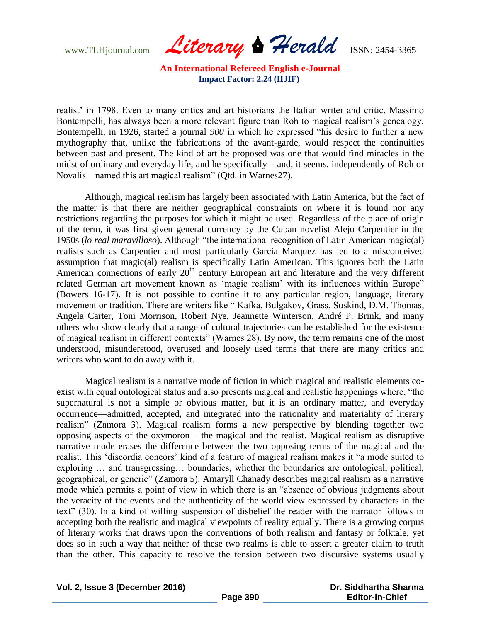www.TLHjournal.com *Literary Herald*ISSN: 2454-3365

realist' in 1798. Even to many critics and art historians the Italian writer and critic, Massimo Bontempelli, has always been a more relevant figure than Roh to magical realism's genealogy. Bontempelli, in 1926, started a journal 900 in which he expressed "his desire to further a new mythography that, unlike the fabrications of the avant-garde, would respect the continuities between past and present. The kind of art he proposed was one that would find miracles in the midst of ordinary and everyday life, and he specifically – and, it seems, independently of Roh or Novalis – named this art magical realism" (Qtd. in Warnes 27).

Although, magical realism has largely been associated with Latin America, but the fact of the matter is that there are neither geographical constraints on where it is found nor any restrictions regarding the purposes for which it might be used. Regardless of the place of origin of the term, it was first given general currency by the Cuban novelist Alejo Carpentier in the 1950s (lo real maravilloso). Although "the international recognition of Latin American magic(al) realists such as Carpentier and most particularly Garcia Marquez has led to a misconceived assumption that magic(al) realism is specifically Latin American. This ignores both the Latin American connections of early  $20<sup>th</sup>$  century European art and literature and the very different related German art movement known as 'magic realism' with its influences within Europe" (Bowers 16-17). It is not possible to confine it to any particular region, language, literary movement or tradition. There are writers like "Kafka, Bulgakov, Grass, Suskind, D.M. Thomas, Angela Carter, Toni Morrison, Robert Nye, Jeannette Winterson, André P. Brink, and many others who show clearly that a range of cultural trajectories can be established for the existence of magical realism in different contexts" (Warnes 28). By now, the term remains one of the most understood, misunderstood, overused and loosely used terms that there are many critics and writers who want to do away with it.

Magical realism is a narrative mode of fiction in which magical and realistic elements coexist with equal ontological status and also presents magical and realistic happenings where, "the supernatural is not a simple or obvious matter, but it is an ordinary matter, and everyday occurrence—admitted, accepted, and integrated into the rationality and materiality of literary realism" (Zamora 3). Magical realism forms a new perspective by blending together two opposing aspects of the oxymoron – the magical and the realist. Magical realism as disruptive narrative mode erases the difference between the two opposing terms of the magical and the realist. This 'discordia concors' kind of a feature of magical realism makes it "a mode suited to exploring … and transgressing… boundaries, whether the boundaries are ontological, political, geographical, or generic" (Zamora 5). Amaryll Chanady describes magical realism as a narrative mode which permits a point of view in which there is an "absence of obvious judgments about the veracity of the events and the authenticity of the world view expressed by characters in the text‖ (30). In a kind of willing suspension of disbelief the reader with the narrator follows in accepting both the realistic and magical viewpoints of reality equally. There is a growing corpus of literary works that draws upon the conventions of both realism and fantasy or folktale, yet does so in such a way that neither of these two realms is able to assert a greater claim to truth than the other. This capacity to resolve the tension between two discursive systems usually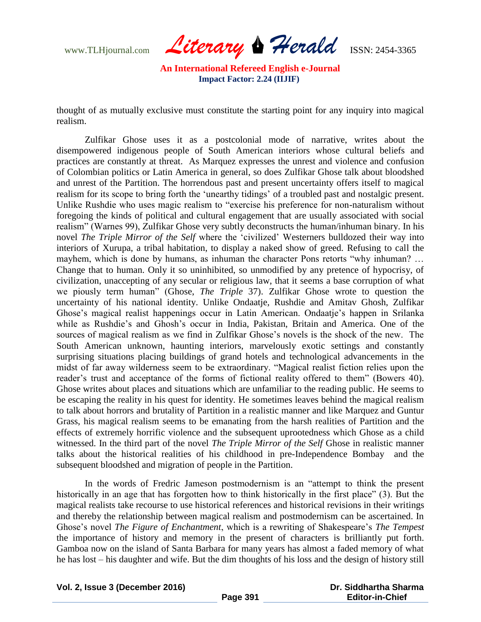www.TLHjournal.com *Literary Herald*ISSN: 2454-3365

thought of as mutually exclusive must constitute the starting point for any inquiry into magical realism.

Zulfikar Ghose uses it as a postcolonial mode of narrative, writes about the disempowered indigenous people of South American interiors whose cultural beliefs and practices are constantly at threat. As Marquez expresses the unrest and violence and confusion of Colombian politics or Latin America in general, so does Zulfikar Ghose talk about bloodshed and unrest of the Partition. The horrendous past and present uncertainty offers itself to magical realism for its scope to bring forth the 'unearthy tidings' of a troubled past and nostalgic present. Unlike Rushdie who uses magic realism to "exercise his preference for non-naturalism without foregoing the kinds of political and cultural engagement that are usually associated with social realism" (Warnes 99), Zulfikar Ghose very subtly deconstructs the human/inhuman binary. In his novel *The Triple Mirror of the Self* where the ‗civilized' Westerners bulldozed their way into interiors of Xurupa, a tribal habitation, to display a naked show of greed. Refusing to call the mayhem, which is done by humans, as inhuman the character Pons retorts "why inhuman? ... Change that to human. Only it so uninhibited, so unmodified by any pretence of hypocrisy, of civilization, unaccepting of any secular or religious law, that it seems a base corruption of what we piously term human" (Ghose, *The Triple* 37). Zulfikar Ghose wrote to question the uncertainty of his national identity. Unlike Ondaatje, Rushdie and Amitav Ghosh, Zulfikar Ghose's magical realist happenings occur in Latin American. Ondaatje's happen in Srilanka while as Rushdie's and Ghosh's occur in India, Pakistan, Britain and America. One of the sources of magical realism as we find in Zulfikar Ghose's novels is the shock of the new. The South American unknown, haunting interiors, marvelously exotic settings and constantly surprising situations placing buildings of grand hotels and technological advancements in the midst of far away wilderness seem to be extraordinary. "Magical realist fiction relies upon the reader's trust and acceptance of the forms of fictional reality offered to them" (Bowers 40). Ghose writes about places and situations which are unfamiliar to the reading public. He seems to be escaping the reality in his quest for identity. He sometimes leaves behind the magical realism to talk about horrors and brutality of Partition in a realistic manner and like Marquez and Guntur Grass, his magical realism seems to be emanating from the harsh realities of Partition and the effects of extremely horrific violence and the subsequent uprootedness which Ghose as a child witnessed. In the third part of the novel *The Triple Mirror of the Self* Ghose in realistic manner talks about the historical realities of his childhood in pre-Independence Bombay and the subsequent bloodshed and migration of people in the Partition.

In the words of Fredric Jameson postmodernism is an "attempt to think the present historically in an age that has forgotten how to think historically in the first place" (3). But the magical realists take recourse to use historical references and historical revisions in their writings and thereby the relationship between magical realism and postmodernism can be ascertained. In Ghose's novel *The Figure of Enchantment*, which is a rewriting of Shakespeare's *The Tempest* the importance of history and memory in the present of characters is brilliantly put forth. Gamboa now on the island of Santa Barbara for many years has almost a faded memory of what he has lost – his daughter and wife. But the dim thoughts of his loss and the design of history still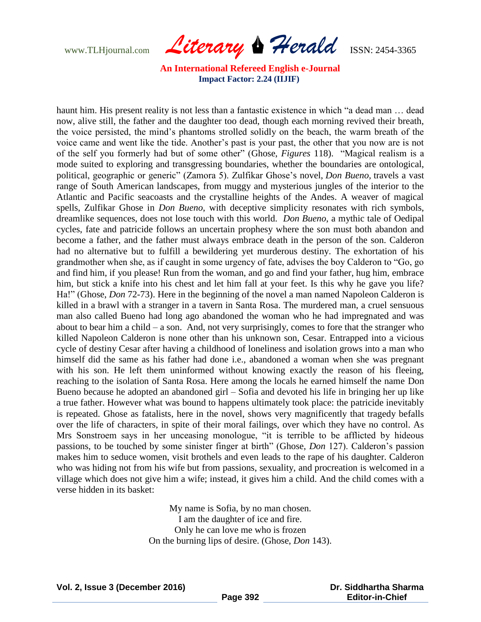www.TLHjournal.com *Literary Herald*ISSN: 2454-3365

haunt him. His present reality is not less than a fantastic existence in which "a dead man ... dead now, alive still, the father and the daughter too dead, though each morning revived their breath, the voice persisted, the mind's phantoms strolled solidly on the beach, the warm breath of the voice came and went like the tide. Another's past is your past, the other that you now are is not of the self you formerly had but of some other" (Ghose, *Figures* 118). "Magical realism is a mode suited to exploring and transgressing boundaries, whether the boundaries are ontological, political, geographic or generic" (Zamora 5). Zulfikar Ghose's novel, *Don Bueno*, travels a vast range of South American landscapes, from muggy and mysterious jungles of the interior to the Atlantic and Pacific seacoasts and the crystalline heights of the Andes. A weaver of magical spells, Zulfikar Ghose in *Don Bueno*, with deceptive simplicity resonates with rich symbols, dreamlike sequences, does not lose touch with this world. *Don Bueno*, a mythic tale of Oedipal cycles, fate and patricide follows an uncertain prophesy where the son must both abandon and become a father, and the father must always embrace death in the person of the son. Calderon had no alternative but to fulfill a bewildering yet murderous destiny. The exhortation of his grandmother when she, as if caught in some urgency of fate, advises the boy Calderon to "Go, go and find him, if you please! Run from the woman, and go and find your father, hug him, embrace him, but stick a knife into his chest and let him fall at your feet. Is this why he gave you life? Ha!" (Ghose, *Don* 72-73). Here in the beginning of the novel a man named Napoleon Calderon is killed in a brawl with a stranger in a tavern in Santa Rosa. The murdered man, a cruel sensuous man also called Bueno had long ago abandoned the woman who he had impregnated and was about to bear him a child – a son. And, not very surprisingly, comes to fore that the stranger who killed Napoleon Calderon is none other than his unknown son, Cesar. Entrapped into a vicious cycle of destiny Cesar after having a childhood of loneliness and isolation grows into a man who himself did the same as his father had done i.e., abandoned a woman when she was pregnant with his son. He left them uninformed without knowing exactly the reason of his fleeing, reaching to the isolation of Santa Rosa. Here among the locals he earned himself the name Don Bueno because he adopted an abandoned girl – Sofia and devoted his life in bringing her up like a true father. However what was bound to happens ultimately took place: the patricide inevitably is repeated. Ghose as fatalists, here in the novel, shows very magnificently that tragedy befalls over the life of characters, in spite of their moral failings, over which they have no control. As Mrs Sonstroem says in her unceasing monologue, "it is terrible to be afflicted by hideous passions, to be touched by some sinister finger at birth" (Ghose, *Don* 127). Calderon's passion makes him to seduce women, visit brothels and even leads to the rape of his daughter. Calderon who was hiding not from his wife but from passions, sexuality, and procreation is welcomed in a village which does not give him a wife; instead, it gives him a child. And the child comes with a verse hidden in its basket:

> My name is Sofia, by no man chosen. I am the daughter of ice and fire. Only he can love me who is frozen On the burning lips of desire. (Ghose, *Don* 143).

 **Dr. Siddhartha Sharma Editor-in-Chief**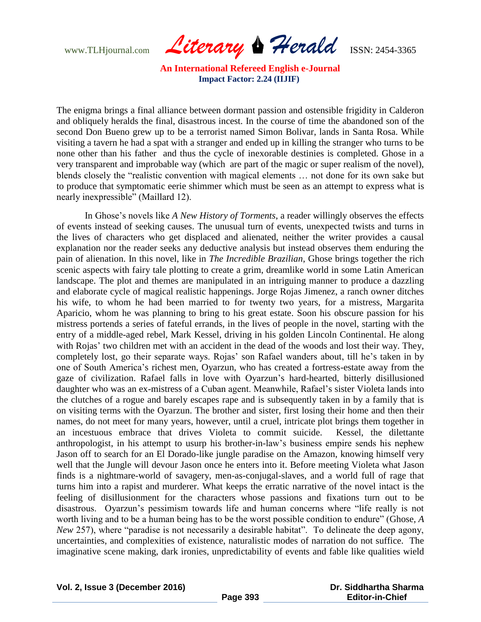www.TLHjournal.com *Literary Herald*ISSN: 2454-3365

The enigma brings a final alliance between dormant passion and ostensible frigidity in Calderon and obliquely heralds the final, disastrous incest. In the course of time the abandoned son of the second Don Bueno grew up to be a terrorist named Simon Bolivar, lands in Santa Rosa. While visiting a tavern he had a spat with a stranger and ended up in killing the stranger who turns to be none other than his father and thus the cycle of inexorable destinies is completed. Ghose in a very transparent and improbable way (which are part of the magic or super realism of the novel), blends closely the "realistic convention with magical elements ... not done for its own sake but to produce that symptomatic eerie shimmer which must be seen as an attempt to express what is nearly inexpressible" (Maillard 12).

In Ghose's novels like *A New History of Torments*, a reader willingly observes the effects of events instead of seeking causes. The unusual turn of events, unexpected twists and turns in the lives of characters who get displaced and alienated, neither the writer provides a causal explanation nor the reader seeks any deductive analysis but instead observes them enduring the pain of alienation. In this novel, like in *The Incredible Brazilian*, Ghose brings together the rich scenic aspects with fairy tale plotting to create a grim, dreamlike world in some Latin American landscape. The plot and themes are manipulated in an intriguing manner to produce a dazzling and elaborate cycle of magical realistic happenings. Jorge Rojas Jimenez, a ranch owner ditches his wife, to whom he had been married to for twenty two years, for a mistress, Margarita Aparicio, whom he was planning to bring to his great estate. Soon his obscure passion for his mistress portends a series of fateful errands, in the lives of people in the novel, starting with the entry of a middle-aged rebel, Mark Kessel, driving in his golden Lincoln Continental. He along with Rojas' two children met with an accident in the dead of the woods and lost their way. They, completely lost, go their separate ways. Rojas' son Rafael wanders about, till he's taken in by one of South America's richest men, Oyarzun, who has created a fortress-estate away from the gaze of civilization. Rafael falls in love with Oyarzun's hard-hearted, bitterly disillusioned daughter who was an ex-mistress of a Cuban agent. Meanwhile, Rafael's sister Violeta lands into the clutches of a rogue and barely escapes rape and is subsequently taken in by a family that is on visiting terms with the Oyarzun. The brother and sister, first losing their home and then their names, do not meet for many years, however, until a cruel, intricate plot brings them together in an incestuous embrace that drives Violeta to commit suicide. Kessel, the dilettante anthropologist, in his attempt to usurp his brother-in-law's business empire sends his nephew Jason off to search for an El Dorado-like jungle paradise on the Amazon, knowing himself very well that the Jungle will devour Jason once he enters into it. Before meeting Violeta what Jason finds is a nightmare-world of savagery, men-as-conjugal-slaves, and a world full of rage that turns him into a rapist and murderer. What keeps the erratic narrative of the novel intact is the feeling of disillusionment for the characters whose passions and fixations turn out to be disastrous. Oyarzun's pessimism towards life and human concerns where "life really is not worth living and to be a human being has to be the worst possible condition to endure" (Ghose, A *New* 257), where "paradise is not necessarily a desirable habitat". To delineate the deep agony, uncertainties, and complexities of existence, naturalistic modes of narration do not suffice. The imaginative scene making, dark ironies, unpredictability of events and fable like qualities wield

 **Dr. Siddhartha Sharma Editor-in-Chief**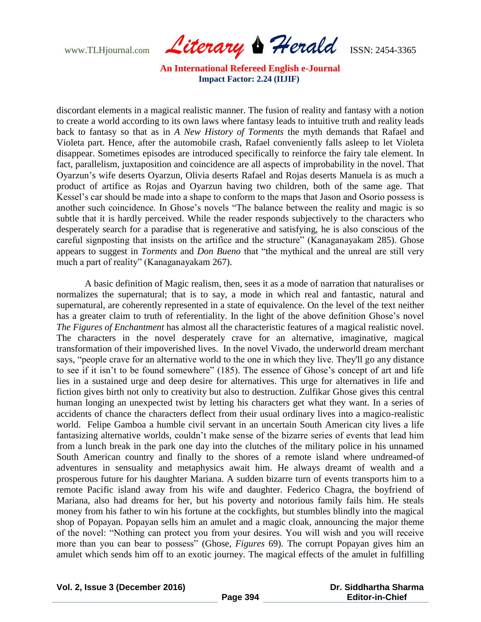www.TLHjournal.com *Literary Herald*ISSN: 2454-3365

discordant elements in a magical realistic manner. The fusion of reality and fantasy with a notion to create a world according to its own laws where fantasy leads to intuitive truth and reality leads back to fantasy so that as in *A New History of Torments* the myth demands that Rafael and Violeta part. Hence, after the automobile crash, Rafael conveniently falls asleep to let Violeta disappear. Sometimes episodes are introduced specifically to reinforce the fairy tale element. In fact, parallelism, juxtaposition and coincidence are all aspects of improbability in the novel. That Oyarzun's wife deserts Oyarzun, Olivia deserts Rafael and Rojas deserts Manuela is as much a product of artifice as Rojas and Oyarzun having two children, both of the same age. That Kessel's car should be made into a shape to conform to the maps that Jason and Osorio possess is another such coincidence. In Ghose's novels "The balance between the reality and magic is so subtle that it is hardly perceived. While the reader responds subjectively to the characters who desperately search for a paradise that is regenerative and satisfying, he is also conscious of the careful signposting that insists on the artifice and the structure" (Kanaganayakam 285). Ghose appears to suggest in *Torments* and *Don Bueno* that "the mythical and the unreal are still very much a part of reality" (Kanaganayakam 267).

A basic definition of Magic realism, then, sees it as a mode of narration that naturalises or normalizes the supernatural; that is to say, a mode in which real and fantastic, natural and supernatural, are coherently represented in a state of equivalence. On the level of the text neither has a greater claim to truth of referentiality. In the light of the above definition Ghose's novel *The Figures of Enchantment* has almost all the characteristic features of a magical realistic novel. The characters in the novel desperately crave for an alternative, imaginative, magical transformation of their impoverished lives. In the novel Vivado, the underworld dream merchant says, "people crave for an alternative world to the one in which they live. They'll go any distance to see if it isn't to be found somewhere" (185). The essence of Ghose's concept of art and life lies in a sustained urge and deep desire for alternatives. This urge for alternatives in life and fiction gives birth not only to creativity but also to destruction. Zulfikar Ghose gives this central human longing an unexpected twist by letting his characters get what they want. In a series of accidents of chance the characters deflect from their usual ordinary lives into a magico-realistic world. Felipe Gamboa a humble civil servant in an uncertain South American city lives a life fantasizing alternative worlds, couldn't make sense of the bizarre series of events that lead him from a lunch break in the park one day into the clutches of the military police in his unnamed South American country and finally to the shores of a remote island where undreamed-of adventures in sensuality and metaphysics await him. He always dreamt of wealth and a prosperous future for his daughter Mariana. A sudden bizarre turn of events transports him to a remote Pacific island away from his wife and daughter. Federico Chagra, the boyfriend of Mariana, also had dreams for her, but his poverty and notorious family fails him. He steals money from his father to win his fortune at the cockfights, but stumbles blindly into the magical shop of Popayan. Popayan sells him an amulet and a magic cloak, announcing the major theme of the novel: "Nothing can protect you from your desires. You will wish and you will receive more than you can bear to possess" (Ghose, *Figures* 69). The corrupt Popayan gives him an amulet which sends him off to an exotic journey. The magical effects of the amulet in fulfilling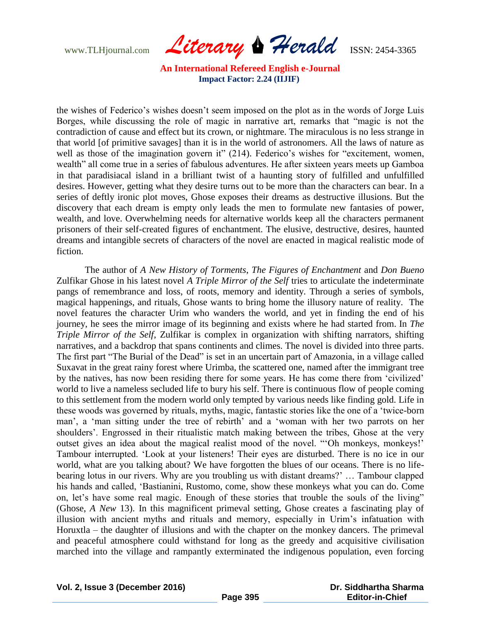www.TLHjournal.com *Literary Herald*ISSN: 2454-3365

the wishes of Federico's wishes doesn't seem imposed on the plot as in the words of Jorge Luis Borges, while discussing the role of magic in narrative art, remarks that "magic is not the contradiction of cause and effect but its crown, or nightmare. The miraculous is no less strange in that world [of primitive savages] than it is in the world of astronomers. All the laws of nature as well as those of the imagination govern it" (214). Federico's wishes for "excitement, women, wealth" all come true in a series of fabulous adventures. He after sixteen years meets up Gamboa in that paradisiacal island in a brilliant twist of a haunting story of fulfilled and unfulfilled desires. However, getting what they desire turns out to be more than the characters can bear. In a series of deftly ironic plot moves, Ghose exposes their dreams as destructive illusions. But the discovery that each dream is empty only leads the men to formulate new fantasies of power, wealth, and love. Overwhelming needs for alternative worlds keep all the characters permanent prisoners of their self-created figures of enchantment. The elusive, destructive, desires, haunted dreams and intangible secrets of characters of the novel are enacted in magical realistic mode of fiction.

The author of *A New History of Torments*, *The Figures of Enchantment* and *Don Bueno* Zulfikar Ghose in his latest novel *A Triple Mirror of the Self* tries to articulate the indeterminate pangs of remembrance and loss, of roots, memory and identity. Through a series of symbols, magical happenings, and rituals, Ghose wants to bring home the illusory nature of reality. The novel features the character Urim who wanders the world, and yet in finding the end of his journey, he sees the mirror image of its beginning and exists where he had started from. In *The Triple Mirror of the Self*, Zulfikar is complex in organization with shifting narrators, shifting narratives, and a backdrop that spans continents and climes. The novel is divided into three parts. The first part "The Burial of the Dead" is set in an uncertain part of Amazonia, in a village called Suxavat in the great rainy forest where Urimba, the scattered one, named after the immigrant tree by the natives, has now been residing there for some years. He has come there from 'civilized' world to live a nameless secluded life to bury his self. There is continuous flow of people coming to this settlement from the modern world only tempted by various needs like finding gold. Life in these woods was governed by rituals, myths, magic, fantastic stories like the one of a 'twice-born' man', a 'man sitting under the tree of rebirth' and a 'woman with her two parrots on her shoulders'. Engrossed in their ritualistic match making between the tribes, Ghose at the very outset gives an idea about the magical realist mood of the novel. "Oh monkeys, monkeys!' Tambour interrupted. ‗Look at your listeners! Their eyes are disturbed. There is no ice in our world, what are you talking about? We have forgotten the blues of our oceans. There is no lifebearing lotus in our rivers. Why are you troubling us with distant dreams?' … Tambour clapped his hands and called, 'Bastianini, Rustomo, come, show these monkeys what you can do. Come on, let's have some real magic. Enough of these stories that trouble the souls of the living" (Ghose, *A New* 13). In this magnificent primeval setting, Ghose creates a fascinating play of illusion with ancient myths and rituals and memory, especially in Urim's infatuation with Horuxtla – the daughter of illusions and with the chapter on the monkey dancers. The primeval and peaceful atmosphere could withstand for long as the greedy and acquisitive civilisation marched into the village and rampantly exterminated the indigenous population, even forcing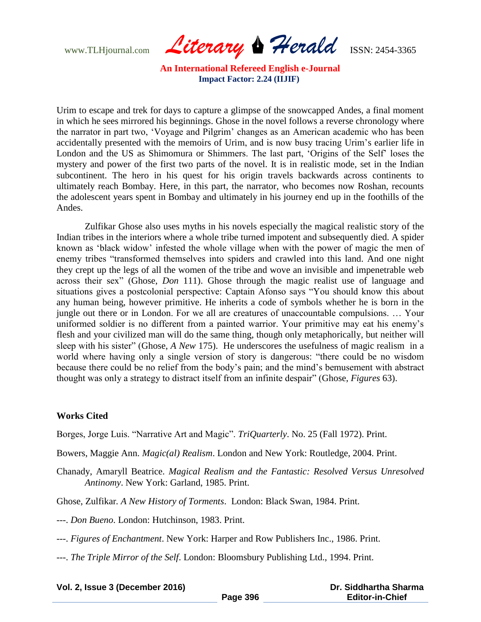www.TLHjournal.com *Literary Herald*ISSN: 2454-3365

Urim to escape and trek for days to capture a glimpse of the snowcapped Andes, a final moment in which he sees mirrored his beginnings. Ghose in the novel follows a reverse chronology where the narrator in part two, ‗Voyage and Pilgrim' changes as an American academic who has been accidentally presented with the memoirs of Urim, and is now busy tracing Urim's earlier life in London and the US as Shimomura or Shimmers. The last part, 'Origins of the Self' loses the mystery and power of the first two parts of the novel. It is in realistic mode, set in the Indian subcontinent. The hero in his quest for his origin travels backwards across continents to ultimately reach Bombay. Here, in this part, the narrator, who becomes now Roshan, recounts the adolescent years spent in Bombay and ultimately in his journey end up in the foothills of the Andes.

Zulfikar Ghose also uses myths in his novels especially the magical realistic story of the Indian tribes in the interiors where a whole tribe turned impotent and subsequently died. A spider known as 'black widow' infested the whole village when with the power of magic the men of enemy tribes "transformed themselves into spiders and crawled into this land. And one night they crept up the legs of all the women of the tribe and wove an invisible and impenetrable web across their sex" (Ghose, *Don* 111). Ghose through the magic realist use of language and situations gives a postcolonial perspective: Captain Afonso says "You should know this about any human being, however primitive. He inherits a code of symbols whether he is born in the jungle out there or in London. For we all are creatures of unaccountable compulsions. … Your uniformed soldier is no different from a painted warrior. Your primitive may eat his enemy's flesh and your civilized man will do the same thing, though only metaphorically, but neither will sleep with his sister" (Ghose, *A New* 175). He underscores the usefulness of magic realism in a world where having only a single version of story is dangerous: "there could be no wisdom because there could be no relief from the body's pain; and the mind's bemusement with abstract thought was only a strategy to distract itself from an infinite despair" (Ghose, *Figures* 63).

#### **Works Cited**

Borges, Jorge Luis. "Narrative Art and Magic". *TriQuarterly*. No. 25 (Fall 1972). Print.

Bowers, Maggie Ann. *Magic(al) Realism*. London and New York: Routledge, 2004. Print.

Chanady, Amaryll Beatrice. *Magical Realism and the Fantastic: Resolved Versus Unresolved Antinomy*. New York: Garland, 1985. Print.

Ghose, Zulfikar*. A New History of Torments*. London: Black Swan, 1984. Print.

---. *Don Bueno*. London: Hutchinson, 1983. Print.

---. *Figures of Enchantment*. New York: Harper and Row Publishers Inc., 1986. Print.

---. *The Triple Mirror of the Self*. London: Bloomsbury Publishing Ltd., 1994. Print.

| Vol. 2, Issue 3 (December 2016) |          | Dr. Siddhartha Sharma  |
|---------------------------------|----------|------------------------|
|                                 | Page 396 | <b>Editor-in-Chief</b> |